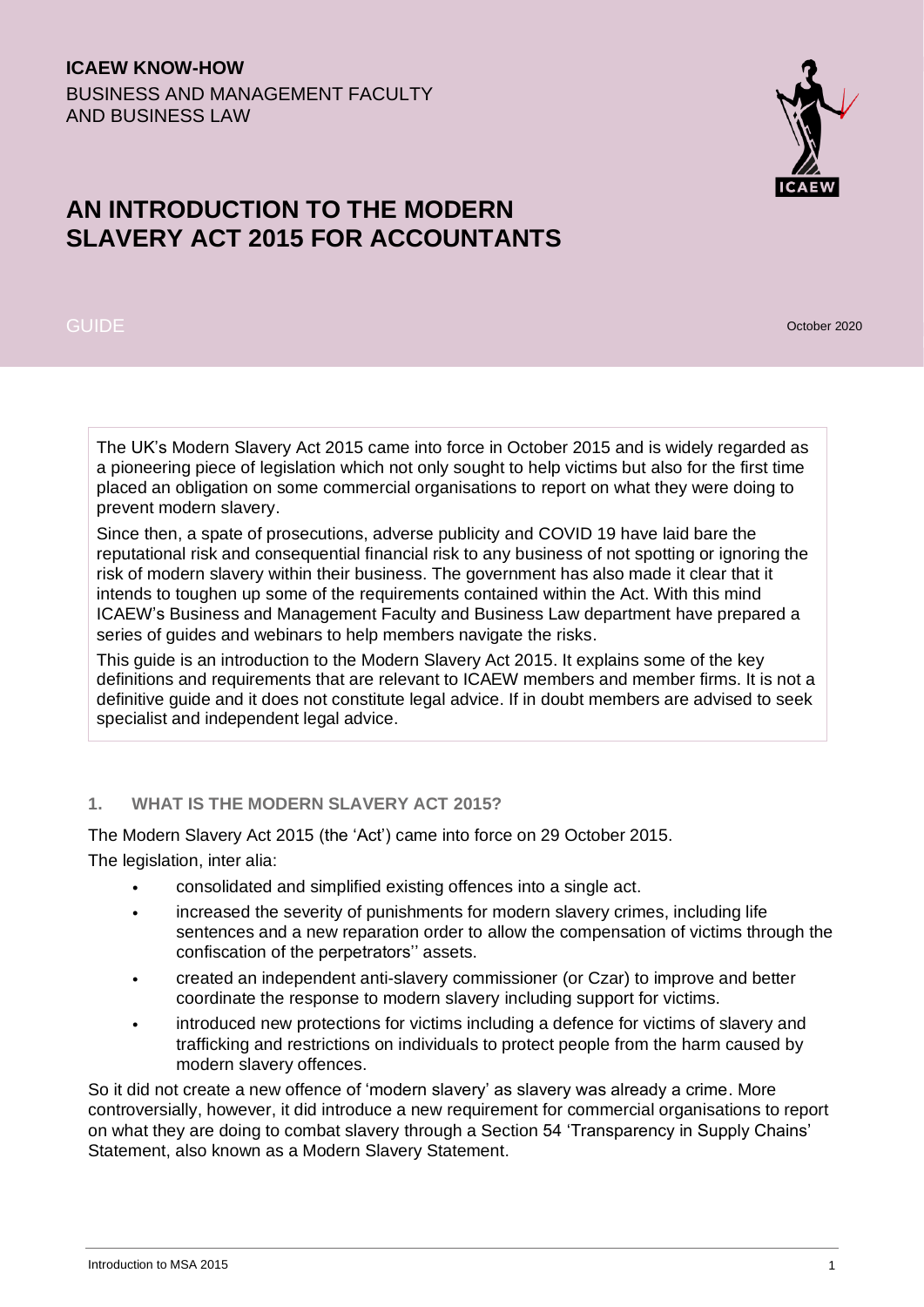## **ICAEW KNOW-HOW** BUSINESS AND MANAGEMENT FACULTY AND BUSINESS LAW

# **AN INTRODUCTION TO THE MODERN SLAVERY ACT 2015 FOR ACCOUNTANTS**

## GUIDE October 2020

The UK's Modern Slavery Act 2015 came into force in October 2015 and is widely regarded as a pioneering piece of legislation which not only sought to help victims but also for the first time placed an obligation on some commercial organisations to report on what they were doing to prevent modern slavery.

Since then, a spate of prosecutions, adverse publicity and COVID 19 have laid bare the reputational risk and consequential financial risk to any business of not spotting or ignoring the risk of modern slavery within their business. The government has also made it clear that it intends to toughen up some of the requirements contained within the Act. With this mind ICAEW's Business and Management Faculty and Business Law department have prepared a series of guides and webinars to help members navigate the risks.

This guide is an introduction to the Modern Slavery Act 2015. It explains some of the key definitions and requirements that are relevant to ICAEW members and member firms. It is not a definitive guide and it does not constitute legal advice. If in doubt members are advised to seek specialist and independent legal advice.

## **1. WHAT IS THE MODERN SLAVERY ACT 2015?**

The Modern Slavery Act 2015 (the 'Act') came into force on 29 October 2015.

The legislation, inter alia:

- consolidated and simplified existing offences into a single act.
- increased the severity of punishments for modern slavery crimes, including life sentences and a new reparation order to allow the compensation of victims through the confiscation of the perpetrators'' assets.
- created an independent anti-slavery commissioner (or Czar) to improve and better coordinate the response to modern slavery including support for victims.
- introduced new protections for victims including a defence for victims of slavery and trafficking and restrictions on individuals to protect people from the harm caused by modern slavery offences.

So it did not create a new offence of 'modern slavery' as slavery was already a crime. More controversially, however, it did introduce a new requirement for commercial organisations to report on what they are doing to combat slavery through a Section 54 'Transparency in Supply Chains' Statement, also known as a Modern Slavery Statement.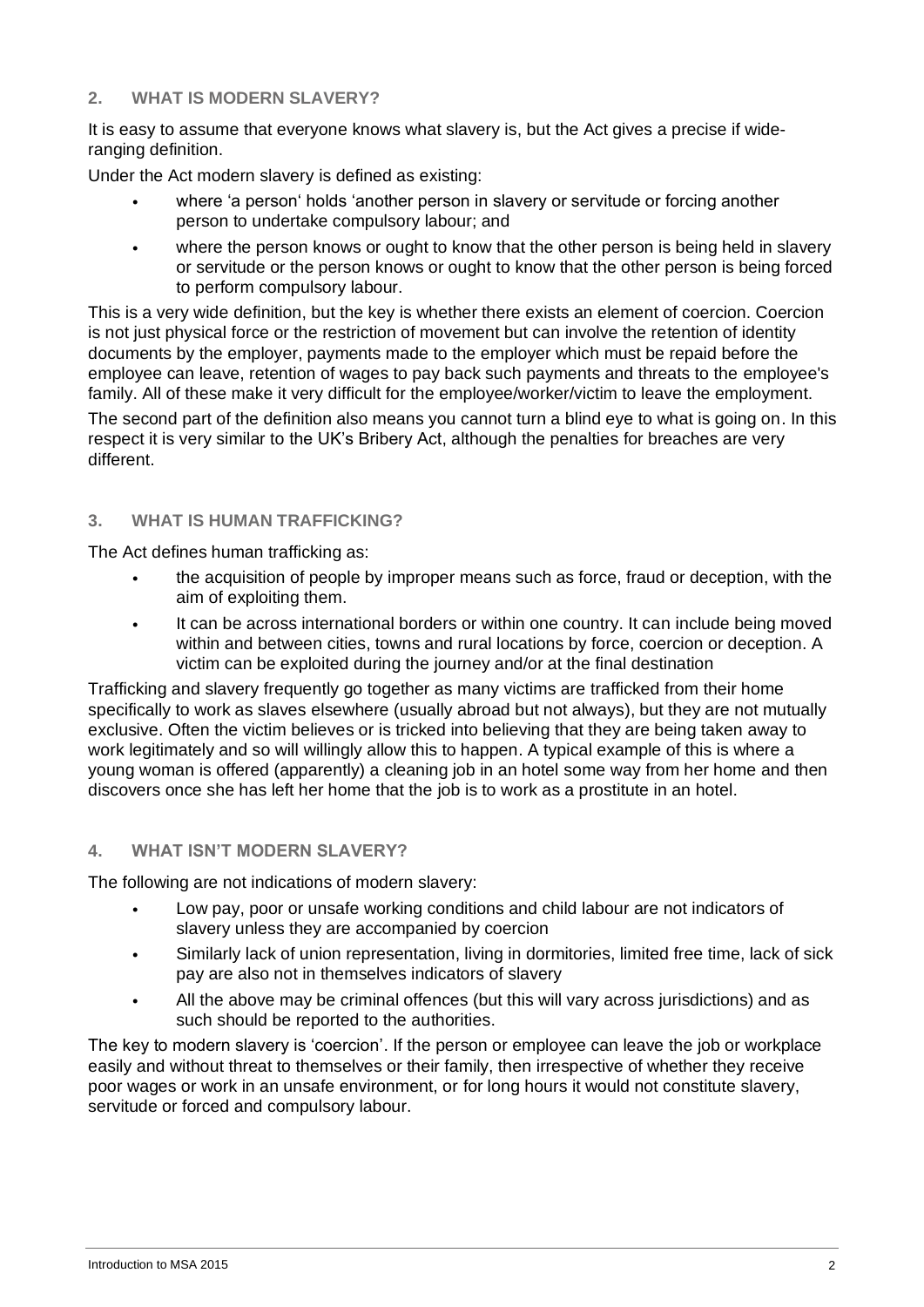#### **2. WHAT IS MODERN SLAVERY?**

It is easy to assume that everyone knows what slavery is, but the Act gives a precise if wideranging definition.

Under the Act modern slavery is defined as existing:

- where 'a person' holds 'another person in slavery or servitude or forcing another person to undertake compulsory labour; and
- where the person knows or ought to know that the other person is being held in slavery or servitude or the person knows or ought to know that the other person is being forced to perform compulsory labour.

This is a very wide definition, but the key is whether there exists an element of coercion. Coercion is not just physical force or the restriction of movement but can involve the retention of identity documents by the employer, payments made to the employer which must be repaid before the employee can leave, retention of wages to pay back such payments and threats to the employee's family. All of these make it very difficult for the employee/worker/victim to leave the employment.

The second part of the definition also means you cannot turn a blind eye to what is going on. In this respect it is very similar to the UK's Bribery Act, although the penalties for breaches are very different.

### **3. WHAT IS HUMAN TRAFFICKING?**

The Act defines human trafficking as:

- the acquisition of people by improper means such as force, fraud or deception, with the aim of exploiting them.
- It can be across international borders or within one country. It can include being moved within and between cities, towns and rural locations by force, coercion or deception. A victim can be exploited during the journey and/or at the final destination

Trafficking and slavery frequently go together as many victims are trafficked from their home specifically to work as slaves elsewhere (usually abroad but not always), but they are not mutually exclusive. Often the victim believes or is tricked into believing that they are being taken away to work legitimately and so will willingly allow this to happen. A typical example of this is where a young woman is offered (apparently) a cleaning job in an hotel some way from her home and then discovers once she has left her home that the job is to work as a prostitute in an hotel.

#### **4. WHAT ISN'T MODERN SLAVERY?**

The following are not indications of modern slavery:

- Low pay, poor or unsafe working conditions and child labour are not indicators of slavery unless they are accompanied by coercion
- Similarly lack of union representation, living in dormitories, limited free time, lack of sick pay are also not in themselves indicators of slavery
- All the above may be criminal offences (but this will vary across jurisdictions) and as such should be reported to the authorities.

The key to modern slavery is 'coercion'. If the person or employee can leave the job or workplace easily and without threat to themselves or their family, then irrespective of whether they receive poor wages or work in an unsafe environment, or for long hours it would not constitute slavery, servitude or forced and compulsory labour.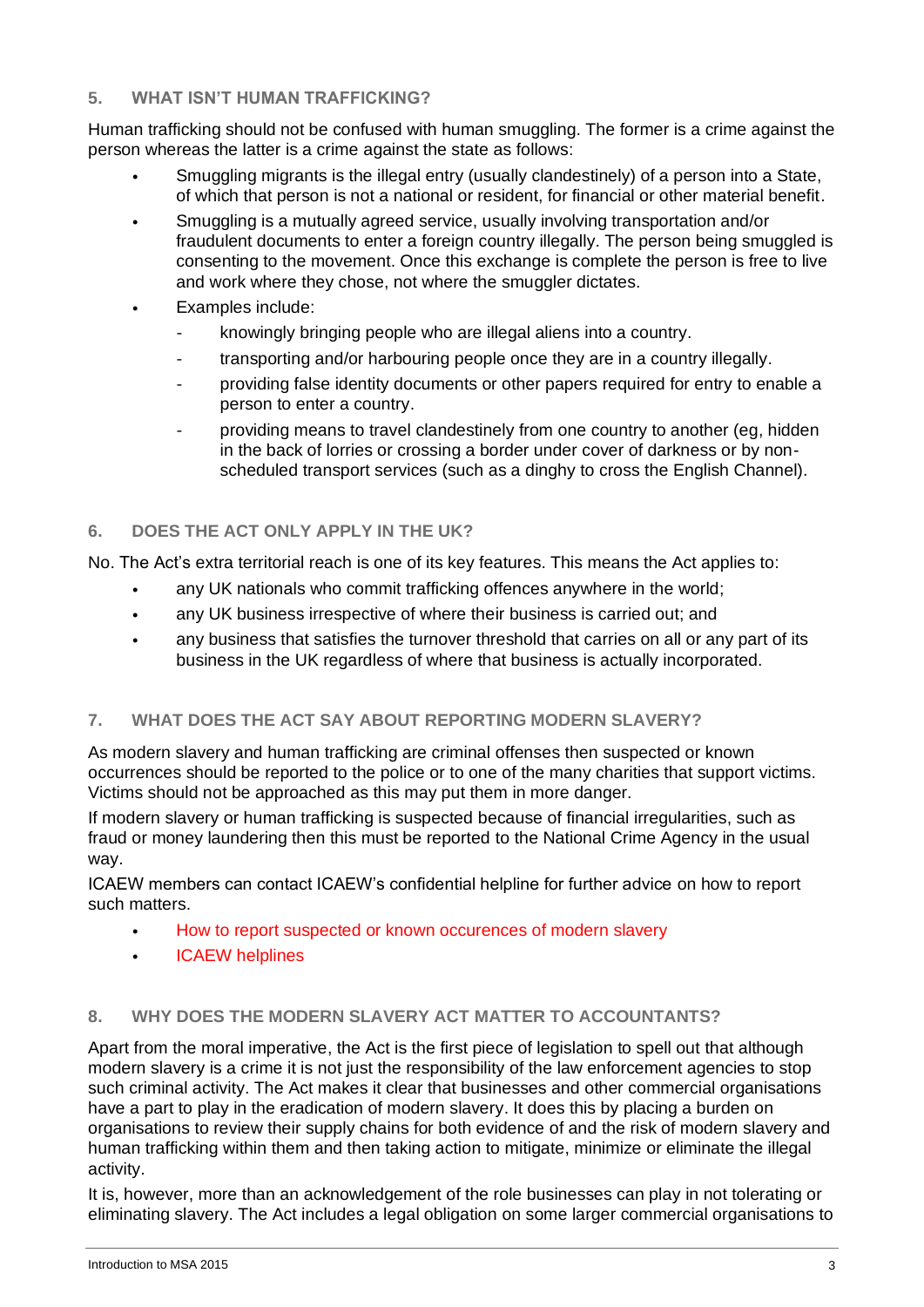#### **5. WHAT ISN'T HUMAN TRAFFICKING?**

Human trafficking should not be confused with human smuggling. The former is a crime against the person whereas the latter is a crime against the state as follows:

- Smuggling migrants is the illegal entry (usually clandestinely) of a person into a State, of which that person is not a national or resident, for financial or other material benefit.
- Smuggling is a mutually agreed service, usually involving transportation and/or fraudulent documents to enter a foreign country illegally. The person being smuggled is consenting to the movement. Once this exchange is complete the person is free to live and work where they chose, not where the smuggler dictates.
- Examples include:
	- knowingly bringing people who are illegal aliens into a country.
	- transporting and/or harbouring people once they are in a country illegally.
	- providing false identity documents or other papers required for entry to enable a person to enter a country.
	- providing means to travel clandestinely from one country to another (eg, hidden in the back of lorries or crossing a border under cover of darkness or by nonscheduled transport services (such as a dinghy to cross the English Channel).

## **6. DOES THE ACT ONLY APPLY IN THE UK?**

No. The Act's extra territorial reach is one of its key features. This means the Act applies to:

- any UK nationals who commit trafficking offences anywhere in the world;
- any UK business irrespective of where their business is carried out; and
- any business that satisfies the turnover threshold that carries on all or any part of its business in the UK regardless of where that business is actually incorporated.

## **7. WHAT DOES THE ACT SAY ABOUT REPORTING MODERN SLAVERY?**

As modern slavery and human trafficking are criminal offenses then suspected or known occurrences should be reported to the police or to one of the many charities that support victims. Victims should not be approached as this may put them in more danger.

If modern slavery or human trafficking is suspected because of financial irregularities, such as fraud or money laundering then this must be reported to the National Crime Agency in the usual way.

ICAEW members can contact ICAEW's confidential helpline for further advice on how to report such matters.

- [How to report suspected or known occurences of modern slavery](https://www.icaew.com/legal-and-regulatory/modern-slavery/reporting-modern-slavery-and-human-trafficking)
- [ICAEW helplines](https://www.icaew.com/contact-us/helplines-and-support)

## **8. WHY DOES THE MODERN SLAVERY ACT MATTER TO ACCOUNTANTS?**

Apart from the moral imperative, the Act is the first piece of legislation to spell out that although modern slavery is a crime it is not just the responsibility of the law enforcement agencies to stop such criminal activity. The Act makes it clear that businesses and other commercial organisations have a part to play in the eradication of modern slavery. It does this by placing a burden on organisations to review their supply chains for both evidence of and the risk of modern slavery and human trafficking within them and then taking action to mitigate, minimize or eliminate the illegal activity.

It is, however, more than an acknowledgement of the role businesses can play in not tolerating or eliminating slavery. The Act includes a legal obligation on some larger commercial organisations to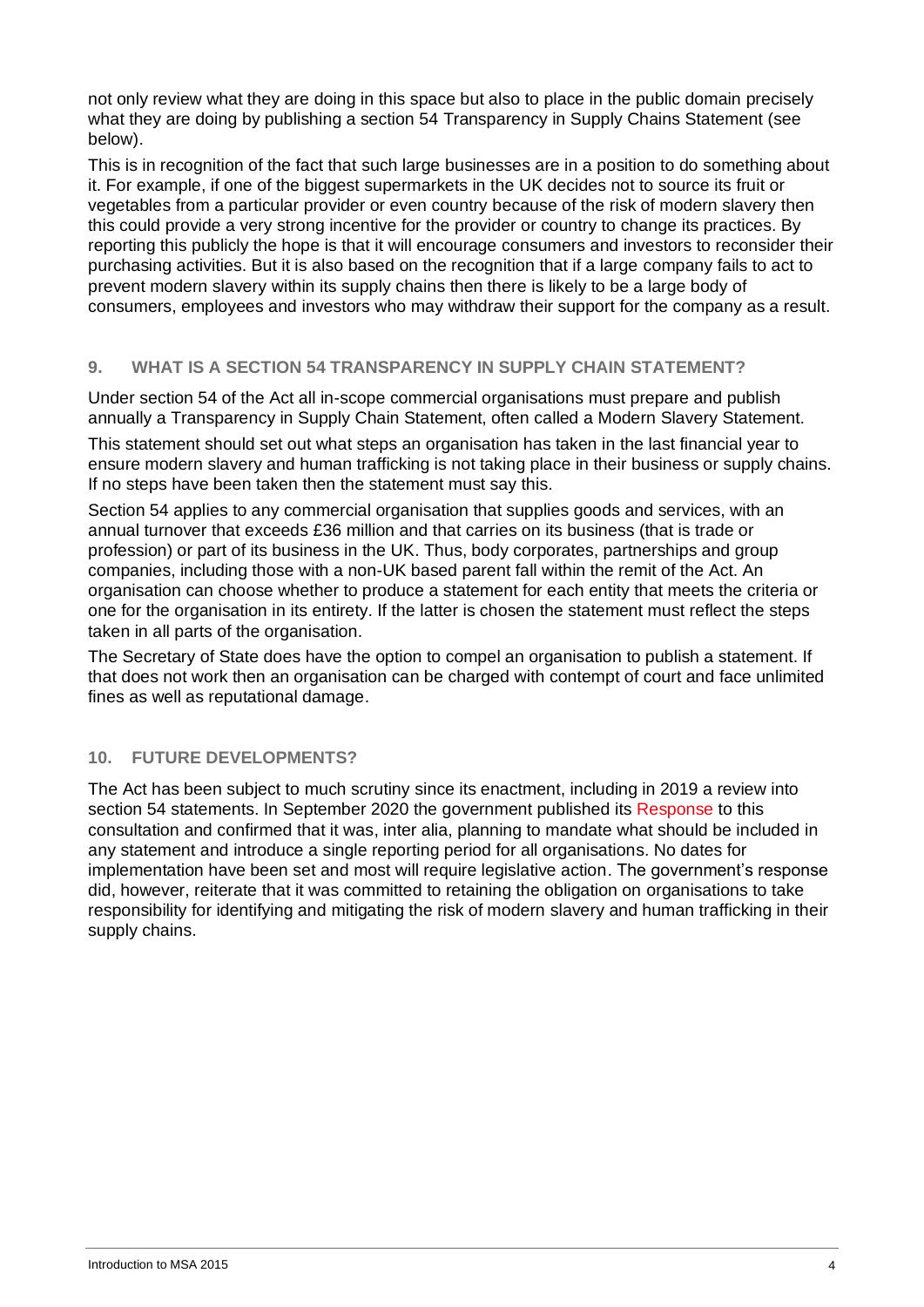not only review what they are doing in this space but also to place in the public domain precisely what they are doing by publishing a section 54 Transparency in Supply Chains Statement (see below).

This is in recognition of the fact that such large businesses are in a position to do something about it. For example, if one of the biggest supermarkets in the UK decides not to source its fruit or vegetables from a particular provider or even country because of the risk of modern slavery then this could provide a very strong incentive for the provider or country to change its practices. By reporting this publicly the hope is that it will encourage consumers and investors to reconsider their purchasing activities. But it is also based on the recognition that if a large company fails to act to prevent modern slavery within its supply chains then there is likely to be a large body of consumers, employees and investors who may withdraw their support for the company as a result.

### **9. WHAT IS A SECTION 54 TRANSPARENCY IN SUPPLY CHAIN STATEMENT?**

Under section 54 of the Act all in-scope commercial organisations must prepare and publish annually a Transparency in Supply Chain Statement, often called a Modern Slavery Statement.

This statement should set out what steps an organisation has taken in the last financial year to ensure modern slavery and human trafficking is not taking place in their business or supply chains. If no steps have been taken then the statement must say this.

Section 54 applies to any commercial organisation that supplies goods and services, with an annual turnover that exceeds £36 million and that carries on its business (that is trade or profession) or part of its business in the UK. Thus, body corporates, partnerships and group companies, including those with a non-UK based parent fall within the remit of the Act. An organisation can choose whether to produce a statement for each entity that meets the criteria or one for the organisation in its entirety. If the latter is chosen the statement must reflect the steps taken in all parts of the organisation.

The Secretary of State does have the option to compel an organisation to publish a statement. If that does not work then an organisation can be charged with contempt of court and face unlimited fines as well as reputational damage.

## **10. FUTURE DEVELOPMENTS?**

The Act has been subject to much scrutiny since its enactment, including in 2019 a review into section 54 statements. In September 2020 the government published its [Response](https://www.gov.uk/government/consultations/transparency-in-supply-chains) to this consultation and confirmed that it was, inter alia, planning to mandate what should be included in any statement and introduce a single reporting period for all organisations. No dates for implementation have been set and most will require legislative action. The government's response did, however, reiterate that it was committed to retaining the obligation on organisations to take responsibility for identifying and mitigating the risk of modern slavery and human trafficking in their supply chains.